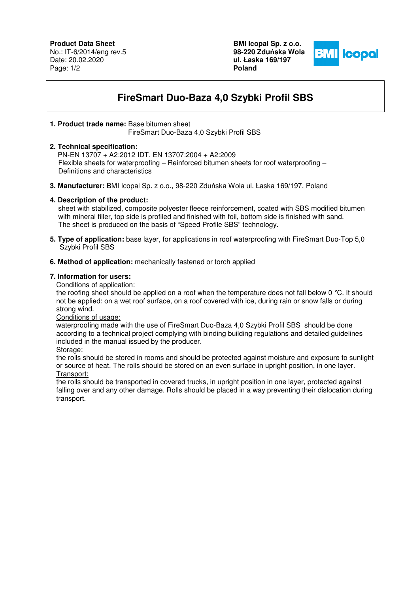## **Product Data Sheet**

No.: IT-6/2014/eng rev.5 Date: 20.02.2020 Page: 1/2

**BMI Icopal Sp. z o.o. 98-220 Zdu**ń**ska Wola ul. Łaska 169/197 Poland** 



# **FireSmart Duo-Baza 4,0 Szybki Profil SBS**

## **1. Product trade name:** Base bitumen sheet

FireSmart Duo-Baza 4,0 Szybki Profil SBS

#### **2. Technical specification:**

 PN-EN 13707 + A2:2012 IDT. EN 13707:2004 + A2:2009 Flexible sheets for waterproofing – Reinforced bitumen sheets for roof waterproofing – Definitions and characteristics

**3. Manufacturer:** BMI Icopal Sp. z o.o., 98-220 Zduńska Wola ul. Łaska 169/197, Poland

### **4. Description of the product:**

 sheet with stabilized, composite polyester fleece reinforcement, coated with SBS modified bitumen with mineral filler, top side is profiled and finished with foil, bottom side is finished with sand. The sheet is produced on the basis of "Speed Profile SBS" technology.

- **5. Type of application:** base layer, for applications in roof waterproofing with FireSmart Duo-Top 5,0 Szybki Profil SBS
- **6. Method of application:** mechanically fastened or torch applied

#### **7. Information for users:**

Conditions of application:

the roofing sheet should be applied on a roof when the temperature does not fall below 0 °C. It should not be applied: on a wet roof surface, on a roof covered with ice, during rain or snow falls or during strong wind.

Conditions of usage:

waterproofing made with the use of FireSmart Duo-Baza 4,0 Szybki Profil SBS should be done according to a technical project complying with binding building regulations and detailed guidelines included in the manual issued by the producer.

Storage:

the rolls should be stored in rooms and should be protected against moisture and exposure to sunlight or source of heat. The rolls should be stored on an even surface in upright position, in one layer. Transport:

the rolls should be transported in covered trucks, in upright position in one layer, protected against falling over and any other damage. Rolls should be placed in a way preventing their dislocation during transport.